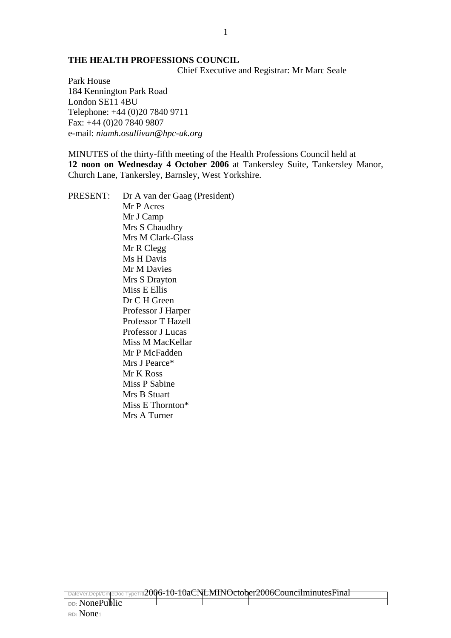#### **THE HEALTH PROFESSIONS COUNCIL**

Chief Executive and Registrar: Mr Marc Seale

Park House 184 Kennington Park Road London SE11 4BU Telephone: +44 (0)20 7840 9711 Fax: +44 (0)20 7840 9807 e-mail: *niamh.osullivan@hpc-uk.org*

MINUTES of the thirty-fifth meeting of the Health Professions Council held at **12 noon on Wednesday 4 October 2006** at Tankersley Suite, Tankersley Manor, Church Lane, Tankersley, Barnsley, West Yorkshire.

PRESENT: Dr A van der Gaag (President) Mr P Acres Mr J Camp Mrs S Chaudhry Mrs M Clark-Glass Mr R Clegg Ms H Davis Mr M Davies Mrs S Drayton Miss E Ellis Dr C H Green Professor J Harper Professor T Hazell Professor J Lucas Miss M MacKellar Mr P McFadden Mrs J Pearce\* Mr K Ross Miss P Sabine Mrs B Stuart Miss E Thornton\* Mrs A Turner

n2006-10-10aCNLMINOctober2006CouncilminutesFinal

**DD:** NonePublic **RD:** None1

ļ

1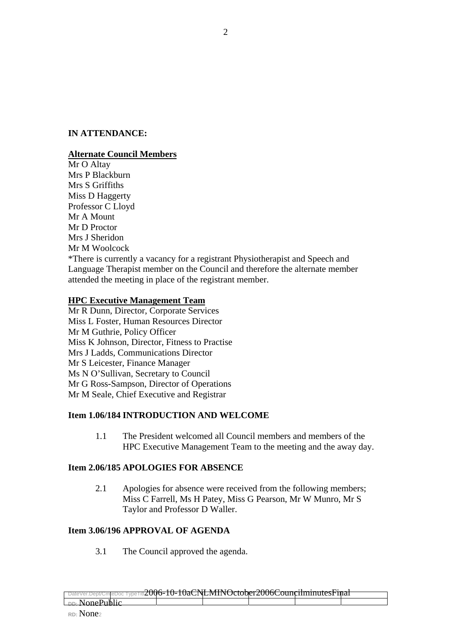## **IN ATTENDANCE:**

## **Alternate Council Members**

Mr O Altay Mrs P Blackburn Mrs S Griffiths Miss D Haggerty Professor C Lloyd Mr A Mount Mr D Proctor Mrs J Sheridon Mr M Woolcock \*There is currently a vacancy for a registrant Physiotherapist and Speech and Language Therapist member on the Council and therefore the alternate member attended the meeting in place of the registrant member.

## **HPC Executive Management Team**

Mr R Dunn, Director, Corporate Services Miss L Foster, Human Resources Director Mr M Guthrie, Policy Officer Miss K Johnson, Director, Fitness to Practise Mrs J Ladds, Communications Director Mr S Leicester, Finance Manager Ms N O'Sullivan, Secretary to Council Mr G Ross-Sampson, Director of Operations Mr M Seale, Chief Executive and Registrar

## **Item 1.06/184 INTRODUCTION AND WELCOME**

1.1 The President welcomed all Council members and members of the HPC Executive Management Team to the meeting and the away day.

## **Item 2.06/185 APOLOGIES FOR ABSENCE**

2.1 Apologies for absence were received from the following members; Miss C Farrell, Ms H Patey, Miss G Pearson, Mr W Munro, Mr S Taylor and Professor D Waller.

# **Item 3.06/196 APPROVAL OF AGENDA**

3.1 The Council approved the agenda.

| DateVer.Dept/CmteDoc TypeTitlZUUO-IU-IUaCINEMIINUCtODEIZUUOCOUIICIIIIIIIIIILESFIIIaI |  |  |  |  |  |  |  |
|--------------------------------------------------------------------------------------|--|--|--|--|--|--|--|
| <b>DD:</b> NonePublic                                                                |  |  |  |  |  |  |  |
| <del>- - - - - - - - - - - - -</del>                                                 |  |  |  |  |  |  |  |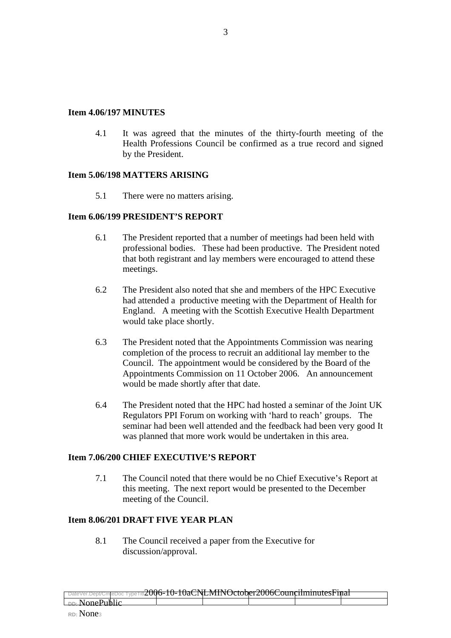#### **Item 4.06/197 MINUTES**

 4.1 It was agreed that the minutes of the thirty-fourth meeting of the Health Professions Council be confirmed as a true record and signed by the President.

### **Item 5.06/198 MATTERS ARISING**

5.1 There were no matters arising.

### **Item 6.06/199 PRESIDENT'S REPORT**

- 6.1 The President reported that a number of meetings had been held with professional bodies. These had been productive. The President noted that both registrant and lay members were encouraged to attend these meetings.
- 6.2 The President also noted that she and members of the HPC Executive had attended a productive meeting with the Department of Health for England. A meeting with the Scottish Executive Health Department would take place shortly.
- 6.3 The President noted that the Appointments Commission was nearing completion of the process to recruit an additional lay member to the Council. The appointment would be considered by the Board of the Appointments Commission on 11 October 2006. An announcement would be made shortly after that date.
- 6.4 The President noted that the HPC had hosted a seminar of the Joint UK Regulators PPI Forum on working with 'hard to reach' groups. The seminar had been well attended and the feedback had been very good It was planned that more work would be undertaken in this area.

## **Item 7.06/200 CHIEF EXECUTIVE'S REPORT**

7.1 The Council noted that there would be no Chief Executive's Report at this meeting. The next report would be presented to the December meeting of the Council.

## **Item 8.06/201 DRAFT FIVE YEAR PLAN**

8.1 The Council received a paper from the Executive for discussion/approval.

| DateVer.Dept/CmteDoc TypeTitlZUUO-1U-TUaCINLINIINOCIODEIZUUOCOUNCIIIIIIIIIUCSFIIIaT |                            | $0.006 \pm 0.10$ $\alpha$ $\mu$ $\mu$ $\alpha$ $\alpha$ $\alpha$ $\alpha$ $\beta$ $\beta$ |  |  |
|-------------------------------------------------------------------------------------|----------------------------|-------------------------------------------------------------------------------------------|--|--|
|                                                                                     |                            |                                                                                           |  |  |
| <del>- - - - - - - - - - - - -</del>                                                | <sub>nn</sub> . NonePublic |                                                                                           |  |  |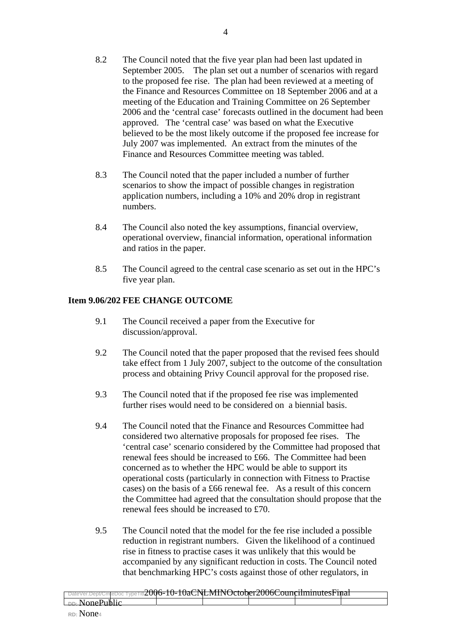- 8.2 The Council noted that the five year plan had been last updated in September 2005. The plan set out a number of scenarios with regard to the proposed fee rise. The plan had been reviewed at a meeting of the Finance and Resources Committee on 18 September 2006 and at a meeting of the Education and Training Committee on 26 September 2006 and the 'central case' forecasts outlined in the document had been approved. The 'central case' was based on what the Executive believed to be the most likely outcome if the proposed fee increase for July 2007 was implemented. An extract from the minutes of the Finance and Resources Committee meeting was tabled.
- 8.3 The Council noted that the paper included a number of further scenarios to show the impact of possible changes in registration application numbers, including a 10% and 20% drop in registrant numbers.
- 8.4 The Council also noted the key assumptions, financial overview, operational overview, financial information, operational information and ratios in the paper.
- 8.5 The Council agreed to the central case scenario as set out in the HPC's five year plan.

## **Item 9.06/202 FEE CHANGE OUTCOME**

- 9.1 The Council received a paper from the Executive for discussion/approval.
- 9.2 The Council noted that the paper proposed that the revised fees should take effect from 1 July 2007, subject to the outcome of the consultation process and obtaining Privy Council approval for the proposed rise.
- 9.3 The Council noted that if the proposed fee rise was implemented further rises would need to be considered on a biennial basis.
- 9.4 The Council noted that the Finance and Resources Committee had considered two alternative proposals for proposed fee rises. The 'central case' scenario considered by the Committee had proposed that renewal fees should be increased to £66. The Committee had been concerned as to whether the HPC would be able to support its operational costs (particularly in connection with Fitness to Practise cases) on the basis of a £66 renewal fee. As a result of this concern the Committee had agreed that the consultation should propose that the renewal fees should be increased to £70.
- 9.5 The Council noted that the model for the fee rise included a possible reduction in registrant numbers. Given the likelihood of a continued rise in fitness to practise cases it was unlikely that this would be accompanied by any significant reduction in costs. The Council noted that benchmarking HPC's costs against those of other regulators, in

|                                      | $2005, 10, 10, 20$ $\overline{0}$ $\overline{10}$ $\overline{10}$ $\overline{10}$ $\overline{10}$ $\overline{10}$ $\overline{10}$ $\overline{10}$ $\overline{10}$ $\overline{10}$ $\overline{10}$ $\overline{10}$ $\overline{10}$ $\overline{10}$ $\overline{10}$ $\overline{10}$ $\overline{10}$ $\overline{10}$ $\overline{10}$ $\overline{10}$ $\over$ |  |  |
|--------------------------------------|-----------------------------------------------------------------------------------------------------------------------------------------------------------------------------------------------------------------------------------------------------------------------------------------------------------------------------------------------------------|--|--|
|                                      | DateVer.Dept/CmreDoc TypeTitlZUUO-TU-TUACINENTINUCCODETZUUOCOUIICHIIIIIIIILESFIIIAT                                                                                                                                                                                                                                                                       |  |  |
|                                      |                                                                                                                                                                                                                                                                                                                                                           |  |  |
| -∽ NonePublic                        |                                                                                                                                                                                                                                                                                                                                                           |  |  |
|                                      |                                                                                                                                                                                                                                                                                                                                                           |  |  |
| <del>- - - - - - - - - - - - -</del> |                                                                                                                                                                                                                                                                                                                                                           |  |  |
|                                      |                                                                                                                                                                                                                                                                                                                                                           |  |  |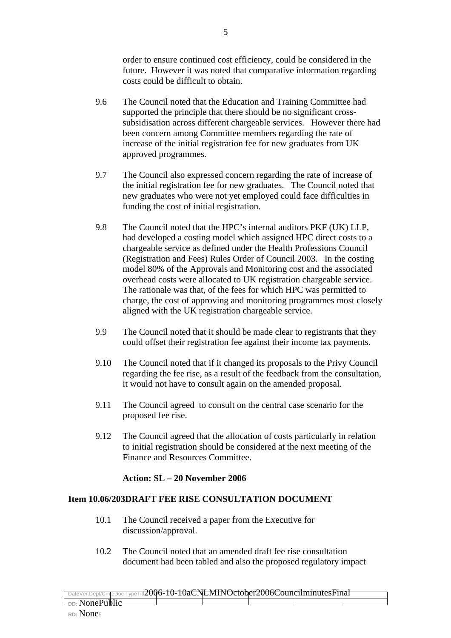order to ensure continued cost efficiency, could be considered in the future. However it was noted that comparative information regarding costs could be difficult to obtain.

- 9.6 The Council noted that the Education and Training Committee had supported the principle that there should be no significant crosssubsidisation across different chargeable services. However there had been concern among Committee members regarding the rate of increase of the initial registration fee for new graduates from UK approved programmes.
- 9.7 The Council also expressed concern regarding the rate of increase of the initial registration fee for new graduates. The Council noted that new graduates who were not yet employed could face difficulties in funding the cost of initial registration.
- 9.8 The Council noted that the HPC's internal auditors PKF (UK) LLP, had developed a costing model which assigned HPC direct costs to a chargeable service as defined under the Health Professions Council (Registration and Fees) Rules Order of Council 2003. In the costing model 80% of the Approvals and Monitoring cost and the associated overhead costs were allocated to UK registration chargeable service. The rationale was that, of the fees for which HPC was permitted to charge, the cost of approving and monitoring programmes most closely aligned with the UK registration chargeable service.
- 9.9 The Council noted that it should be made clear to registrants that they could offset their registration fee against their income tax payments.
- 9.10 The Council noted that if it changed its proposals to the Privy Council regarding the fee rise, as a result of the feedback from the consultation, it would not have to consult again on the amended proposal.
- 9.11 The Council agreed to consult on the central case scenario for the proposed fee rise.
- 9.12 The Council agreed that the allocation of costs particularly in relation to initial registration should be considered at the next meeting of the Finance and Resources Committee.

## **Action: SL – 20 November 2006**

#### **Item 10.06/203DRAFT FEE RISE CONSULTATION DOCUMENT**

- 10.1 The Council received a paper from the Executive for discussion/approval.
- 10.2 The Council noted that an amended draft fee rise consultation document had been tabled and also the proposed regulatory impact

|                                                                                      | $2006.10.10.$ $\alpha$ $\mu$ $\mu$ $\alpha$ $\alpha$ $\alpha$ $\beta$ |  |  |
|--------------------------------------------------------------------------------------|-----------------------------------------------------------------------|--|--|
| DateVer.Dept/CmreDoc TypeTitlZUUO-TU-TUACINENIINUCCODETZUUOCOUIICIIIIIIIIIILESFIIIAI |                                                                       |  |  |
|                                                                                      |                                                                       |  |  |
|                                                                                      |                                                                       |  |  |
| <sub>DD:</sub> NonePublic                                                            |                                                                       |  |  |
| <del>--------------</del>                                                            |                                                                       |  |  |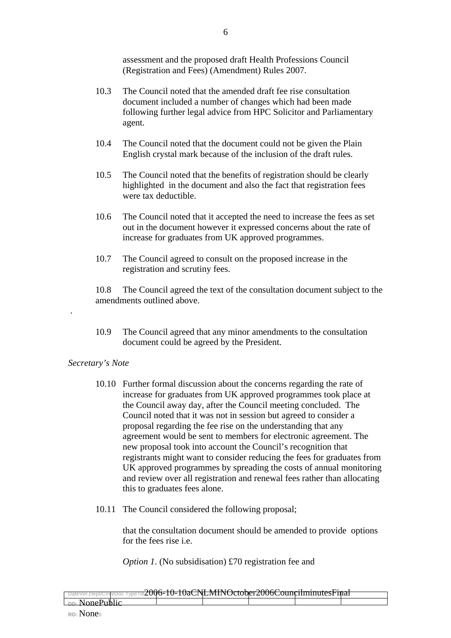assessment and the proposed draft Health Professions Council (Registration and Fees) (Amendment) Rules 2007.

- 10.3 The Council noted that the amended draft fee rise consultation document included a number of changes which had been made following further legal advice from HPC Solicitor and Parliamentary agent.
- 10.4 The Council noted that the document could not be given the Plain English crystal mark because of the inclusion of the draft rules.
- 10.5 The Council noted that the benefits of registration should be clearly highlighted in the document and also the fact that registration fees were tax deductible.
- 10.6 The Council noted that it accepted the need to increase the fees as set out in the document however it expressed concerns about the rate of increase for graduates from UK approved programmes.
- 10.7 The Council agreed to consult on the proposed increase in the registration and scrutiny fees.

10.8 The Council agreed the text of the consultation document subject to the amendments outlined above.

10.9 The Council agreed that any minor amendments to the consultation document could be agreed by the President.

## *Secretary's Note*

.

- 10.10 Further formal discussion about the concerns regarding the rate of increase for graduates from UK approved programmes took place at the Council away day, after the Council meeting concluded. The Council noted that it was not in session but agreed to consider a proposal regarding the fee rise on the understanding that any agreement would be sent to members for electronic agreement. The new proposal took into account the Council's recognition that registrants might want to consider reducing the fees for graduates from UK approved programmes by spreading the costs of annual monitoring and review over all registration and renewal fees rather than allocating this to graduates fees alone.
- 10.11 The Council considered the following proposal;

that the consultation document should be amended to provide options for the fees rise i.e.

*Option 1*. (No subsidisation) £70 registration fee and

|                                                                                         | $0.006 \pm 0.10$ $\alpha$ NII MINIO $\pm 1$ $0.006$ $\alpha$ $\pm 1$ |  |  |
|-----------------------------------------------------------------------------------------|----------------------------------------------------------------------|--|--|
| DateVer.Dept/CmteDoc TypeTitl <b>ZUUO-TU-TUACINENIINOCIODEI ZUUOCOUNCINNINUIESFINAT</b> |                                                                      |  |  |
|                                                                                         |                                                                      |  |  |
|                                                                                         |                                                                      |  |  |
| <sub>nn</sub> . NonePublic                                                              |                                                                      |  |  |
| <del>--------------</del>                                                               |                                                                      |  |  |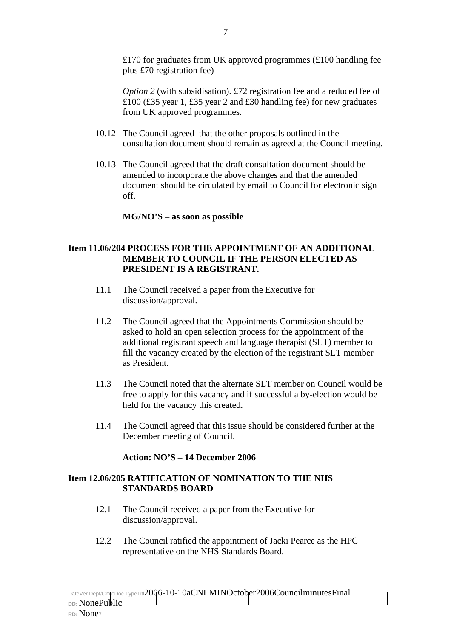£170 for graduates from UK approved programmes  $(£100$  handling fee plus £70 registration fee)

*Option 2* (with subsidisation). £72 registration fee and a reduced fee of £100 (£35 year 1, £35 year 2 and £30 handling fee) for new graduates from UK approved programmes.

- 10.12 The Council agreed that the other proposals outlined in the consultation document should remain as agreed at the Council meeting.
- 10.13 The Council agreed that the draft consultation document should be amended to incorporate the above changes and that the amended document should be circulated by email to Council for electronic sign off.

#### **MG/NO'S – as soon as possible**

### **Item 11.06/204 PROCESS FOR THE APPOINTMENT OF AN ADDITIONAL MEMBER TO COUNCIL IF THE PERSON ELECTED AS PRESIDENT IS A REGISTRANT.**

- 11.1 The Council received a paper from the Executive for discussion/approval.
- 11.2 The Council agreed that the Appointments Commission should be asked to hold an open selection process for the appointment of the additional registrant speech and language therapist (SLT) member to fill the vacancy created by the election of the registrant SLT member as President.
- 11.3 The Council noted that the alternate SLT member on Council would be free to apply for this vacancy and if successful a by-election would be held for the vacancy this created.
- 11.4 The Council agreed that this issue should be considered further at the December meeting of Council.

#### **Action: NO'S – 14 December 2006**

## **Item 12.06/205 RATIFICATION OF NOMINATION TO THE NHS STANDARDS BOARD**

- 12.1 The Council received a paper from the Executive for discussion/approval.
- 12.2 The Council ratified the appointment of Jacki Pearce as the HPC representative on the NHS Standards Board.

|                                                                                     | $0.006 \pm 0.10$ $\alpha$ $\mu$ $\mu$ $\mu$ $\alpha$ $\mu$ $\alpha$ $\alpha$ $\alpha$ $\beta$ $\beta$ $\alpha$ |  |  |
|-------------------------------------------------------------------------------------|----------------------------------------------------------------------------------------------------------------|--|--|
| DateVer.Dept/CmteDoc TypeTitlZUU0-TU-TUaCINEMIINOCLOUEIZUU0COUIICIIIIIIIIIUESFIIIaT |                                                                                                                |  |  |
|                                                                                     |                                                                                                                |  |  |
|                                                                                     |                                                                                                                |  |  |
| $\Box$ NonePublic                                                                   |                                                                                                                |  |  |
| <del>- - - - - - - - - - - - -</del>                                                |                                                                                                                |  |  |